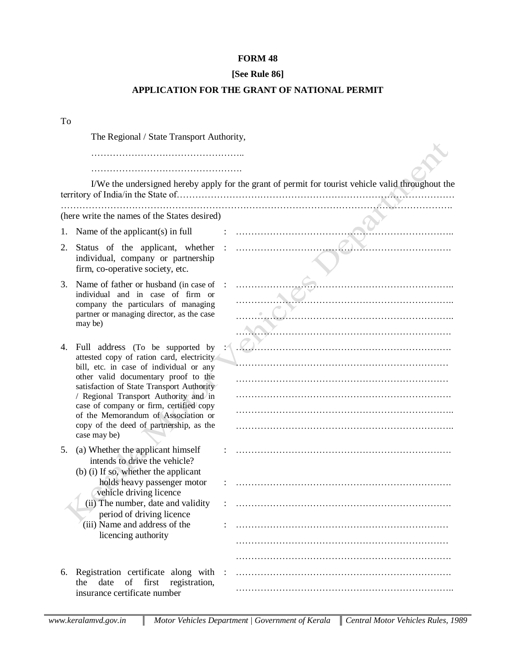## **FORM 48**

## **[See Rule 86]**

## **APPLICATION FOR THE GRANT OF NATIONAL PERMIT**

To

The Regional / State Transport Authority,

…………………………………………..

………………………………………….

| I/We the undersigned hereby apply for the grant of permit for tourist vehicle valid throughout the |                                                                                                                                                                                                                                                        |  |                                                                                                                                                                                                                                   |
|----------------------------------------------------------------------------------------------------|--------------------------------------------------------------------------------------------------------------------------------------------------------------------------------------------------------------------------------------------------------|--|-----------------------------------------------------------------------------------------------------------------------------------------------------------------------------------------------------------------------------------|
| (here write the names of the States desired)                                                       |                                                                                                                                                                                                                                                        |  |                                                                                                                                                                                                                                   |
| 1.                                                                                                 | Name of the applicant(s) in full                                                                                                                                                                                                                       |  |                                                                                                                                                                                                                                   |
| 2.                                                                                                 | Status of the applicant, whether :<br>individual, company or partnership<br>firm, co-operative society, etc.                                                                                                                                           |  |                                                                                                                                                                                                                                   |
| 3.                                                                                                 | Name of father or husband (in case of<br>individual and in case of firm or<br>company the particulars of managing<br>partner or managing director, as the case<br>may be)                                                                              |  |                                                                                                                                                                                                                                   |
| 4.                                                                                                 | Full address (To be supported by<br>attested copy of ration card, electricity<br>bill, etc. in case of individual or any<br>other valid documentary proof to the<br>satisfaction of State Transport Authority<br>/ Regional Transport Authority and in |  | $\mathbb{Z}$ . The continuum continuum continuum continuum continuum continuum continuum continuum continuum continuum continuum continuum continuum continuum continuum continuum continuum continuum continuum continuum contin |
|                                                                                                    |                                                                                                                                                                                                                                                        |  |                                                                                                                                                                                                                                   |
|                                                                                                    | case of company or firm, certified copy<br>of the Memorandum of Association or<br>copy of the deed of partnership, as the<br>case may be)                                                                                                              |  |                                                                                                                                                                                                                                   |
| 5.                                                                                                 | (a) Whether the applicant himself<br>intends to drive the vehicle?<br>(b) (i) If so, whether the applicant                                                                                                                                             |  |                                                                                                                                                                                                                                   |
|                                                                                                    | holds heavy passenger motor<br>vehicle driving licence                                                                                                                                                                                                 |  |                                                                                                                                                                                                                                   |
|                                                                                                    | (ii) The number, date and validity<br>period of driving licence                                                                                                                                                                                        |  |                                                                                                                                                                                                                                   |
|                                                                                                    | (iii) Name and address of the<br>licencing authority                                                                                                                                                                                                   |  |                                                                                                                                                                                                                                   |
|                                                                                                    |                                                                                                                                                                                                                                                        |  |                                                                                                                                                                                                                                   |
| 6.                                                                                                 | Registration certificate along with :<br>registration,<br>date<br>of<br>first<br>the<br>insurance certificate number                                                                                                                                   |  |                                                                                                                                                                                                                                   |
|                                                                                                    |                                                                                                                                                                                                                                                        |  |                                                                                                                                                                                                                                   |